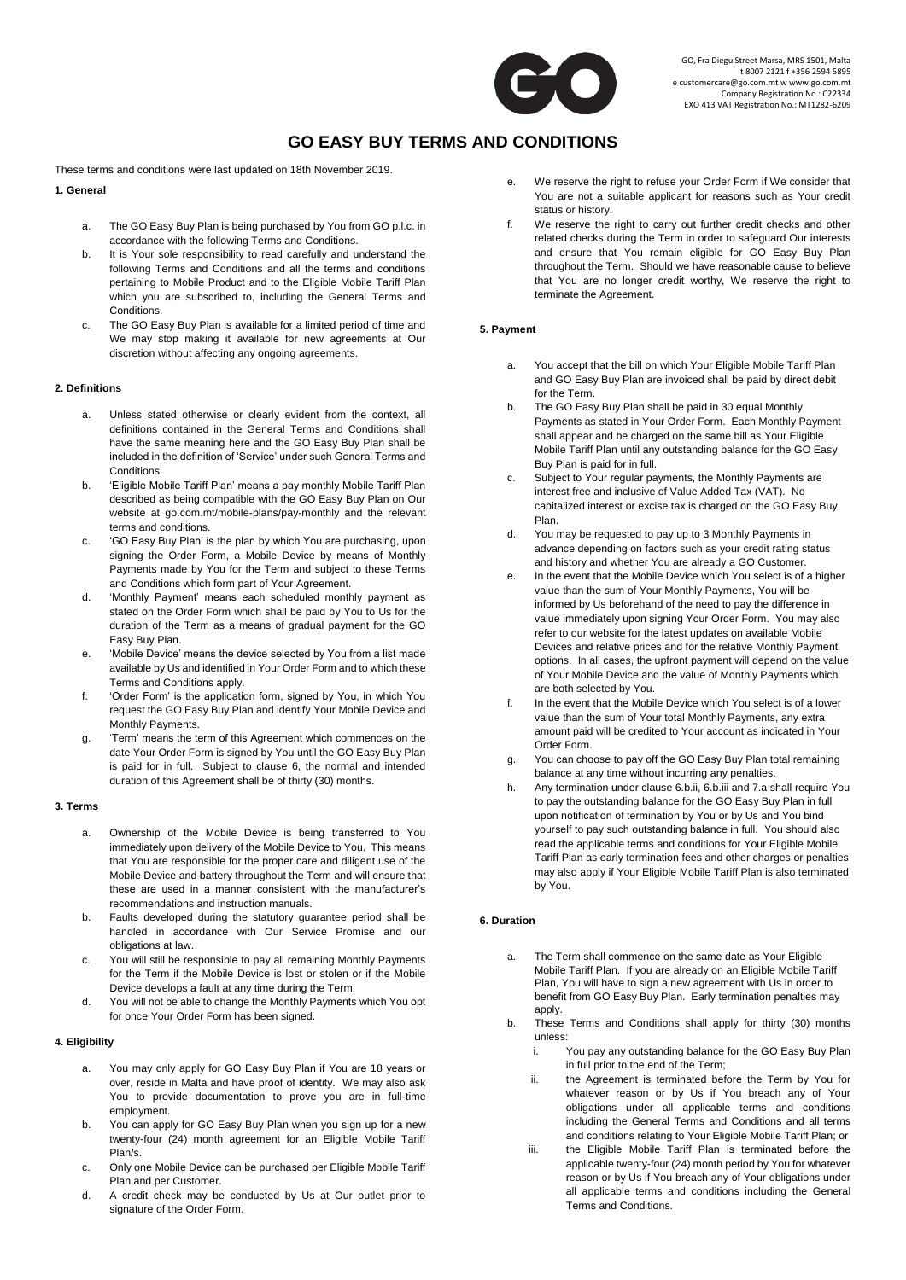

# **GO EASY BUY TERMS AND CONDITIONS**

These terms and conditions were last updated on 18th November 2019.

## **1. General**

- a. The GO Easy Buy Plan is being purchased by You from GO p.l.c. in accordance with the following Terms and Conditions.
- b. It is Your sole responsibility to read carefully and understand the following Terms and Conditions and all the terms and conditions pertaining to Mobile Product and to the Eligible Mobile Tariff Plan which you are subscribed to, including the General Terms and Conditions.
- c. The GO Easy Buy Plan is available for a limited period of time and We may stop making it available for new agreements at Our discretion without affecting any ongoing agreements.

## **2. Definitions**

- a. Unless stated otherwise or clearly evident from the context, all definitions contained in the General Terms and Conditions shall have the same meaning here and the GO Easy Buy Plan shall be included in the definition of 'Service' under such General Terms and **Conditions**
- b. 'Eligible Mobile Tariff Plan' means a pay monthly Mobile Tariff Plan described as being compatible with the GO Easy Buy Plan on Our website at go.com.mt/mobile-plans/pay-monthly and the relevant terms and conditions.
- c. 'GO Easy Buy Plan' is the plan by which You are purchasing, upon signing the Order Form, a Mobile Device by means of Monthly Payments made by You for the Term and subject to these Terms and Conditions which form part of Your Agreement.
- d. 'Monthly Payment' means each scheduled monthly payment as stated on the Order Form which shall be paid by You to Us for the duration of the Term as a means of gradual payment for the GO Easy Buy Plan.
- e. 'Mobile Device' means the device selected by You from a list made available by Us and identified in Your Order Form and to which these Terms and Conditions apply.
- f. 'Order Form' is the application form, signed by You, in which You request the GO Easy Buy Plan and identify Your Mobile Device and Monthly Payments.
- g. 'Term' means the term of this Agreement which commences on the date Your Order Form is signed by You until the GO Easy Buy Plan is paid for in full. Subject to clause 6, the normal and intended duration of this Agreement shall be of thirty (30) months.

## **3. Terms**

- a. Ownership of the Mobile Device is being transferred to You immediately upon delivery of the Mobile Device to You. This means that You are responsible for the proper care and diligent use of the Mobile Device and battery throughout the Term and will ensure that these are used in a manner consistent with the manufacturer's recommendations and instruction manuals.
- b. Faults developed during the statutory guarantee period shall be handled in accordance with Our Service Promise and our obligations at law.
- c. You will still be responsible to pay all remaining Monthly Payments for the Term if the Mobile Device is lost or stolen or if the Mobile Device develops a fault at any time during the Term.
- You will not be able to change the Monthly Payments which You opt for once Your Order Form has been signed.

# **4. Eligibility**

- a. You may only apply for GO Easy Buy Plan if You are 18 years or over, reside in Malta and have proof of identity. We may also ask You to provide documentation to prove you are in full-time employment.
- b. You can apply for GO Easy Buy Plan when you sign up for a new twenty-four (24) month agreement for an Eligible Mobile Tariff Plan/s.
- c. Only one Mobile Device can be purchased per Eligible Mobile Tariff Plan and per Customer.
- d. A credit check may be conducted by Us at Our outlet prior to signature of the Order Form.
- e. We reserve the right to refuse your Order Form if We consider that You are not a suitable applicant for reasons such as Your credit status or history.
- f. We reserve the right to carry out further credit checks and other related checks during the Term in order to safeguard Our interests and ensure that You remain eligible for GO Easy Buy Plan throughout the Term. Should we have reasonable cause to believe that You are no longer credit worthy, We reserve the right to terminate the Agreement.

## **5. Payment**

- a. You accept that the bill on which Your Eligible Mobile Tariff Plan and GO Easy Buy Plan are invoiced shall be paid by direct debit for the Term.
- b. The GO Easy Buy Plan shall be paid in 30 equal Monthly Payments as stated in Your Order Form. Each Monthly Payment shall appear and be charged on the same bill as Your Eligible Mobile Tariff Plan until any outstanding balance for the GO Easy Buy Plan is paid for in full.
- c. Subject to Your regular payments, the Monthly Payments are interest free and inclusive of Value Added Tax (VAT). No capitalized interest or excise tax is charged on the GO Easy Buy Plan.
- d. You may be requested to pay up to 3 Monthly Payments in advance depending on factors such as your credit rating status and history and whether You are already a GO Customer.
- e. In the event that the Mobile Device which You select is of a higher value than the sum of Your Monthly Payments, You will be informed by Us beforehand of the need to pay the difference in value immediately upon signing Your Order Form. You may also refer to our website for the latest updates on available Mobile Devices and relative prices and for the relative Monthly Payment options. In all cases, the upfront payment will depend on the value of Your Mobile Device and the value of Monthly Payments which are both selected by You.
- f. In the event that the Mobile Device which You select is of a lower value than the sum of Your total Monthly Payments, any extra amount paid will be credited to Your account as indicated in Your Order Form.
- g. You can choose to pay off the GO Easy Buy Plan total remaining balance at any time without incurring any penalties.
- h. Any termination under clause 6.b.ii, 6.b.iii and 7.a shall require You to pay the outstanding balance for the GO Easy Buy Plan in full upon notification of termination by You or by Us and You bind yourself to pay such outstanding balance in full. You should also read the applicable terms and conditions for Your Eligible Mobile Tariff Plan as early termination fees and other charges or penalties may also apply if Your Eligible Mobile Tariff Plan is also terminated by You.

#### **6. Duration**

- a. The Term shall commence on the same date as Your Eligible Mobile Tariff Plan. If you are already on an Eligible Mobile Tariff Plan, You will have to sign a new agreement with Us in order to benefit from GO Easy Buy Plan. Early termination penalties may apply.
- b. These Terms and Conditions shall apply for thirty (30) months unless:
	- i. You pay any outstanding balance for the GO Easy Buy Plan in full prior to the end of the Term;
	- ii. the Agreement is terminated before the Term by You for whatever reason or by Us if You breach any of Your obligations under all applicable terms and conditions including the General Terms and Conditions and all terms and conditions relating to Your Eligible Mobile Tariff Plan; or
	- iii. the Eligible Mobile Tariff Plan is terminated before the applicable twenty-four (24) month period by You for whatever reason or by Us if You breach any of Your obligations under all applicable terms and conditions including the General Terms and Conditions.